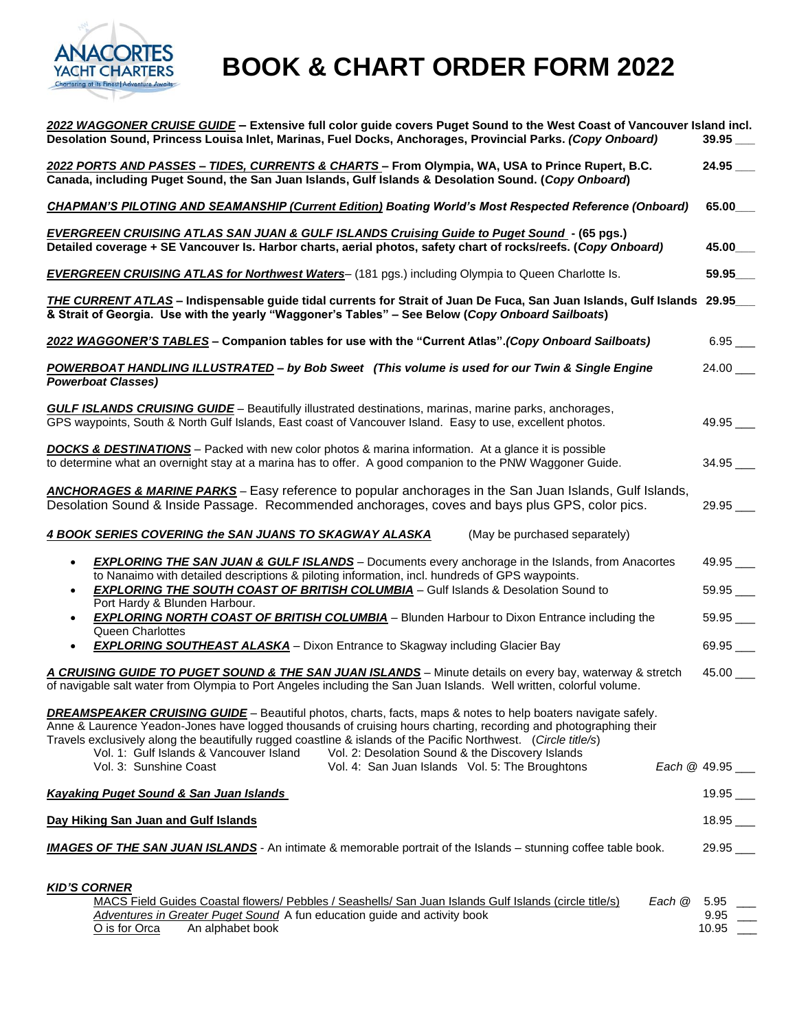

# **BOOK & CHART ORDER FORM 2022**

| 2022 WAGGONER CRUISE GUIDE - Extensive full color guide covers Puget Sound to the West Coast of Vancouver Island incl.<br>Desolation Sound, Princess Louisa Inlet, Marinas, Fuel Docks, Anchorages, Provincial Parks. (Copy Onboard)                                                                                                                                                                                                                      |                             |
|-----------------------------------------------------------------------------------------------------------------------------------------------------------------------------------------------------------------------------------------------------------------------------------------------------------------------------------------------------------------------------------------------------------------------------------------------------------|-----------------------------|
| 2022 PORTS AND PASSES - TIDES, CURRENTS & CHARTS - From Olympia, WA, USA to Prince Rupert, B.C.<br>Canada, including Puget Sound, the San Juan Islands, Gulf Islands & Desolation Sound. (Copy Onboard)                                                                                                                                                                                                                                                   | $24.95$ ___                 |
| <b>CHAPMAN'S PILOTING AND SEAMANSHIP (Current Edition) Boating World's Most Respected Reference (Onboard)</b>                                                                                                                                                                                                                                                                                                                                             | 65.00                       |
| <b>EVERGREEN CRUISING ATLAS SAN JUAN &amp; GULF ISLANDS Cruising Guide to Puget Sound - (65 pgs.)</b><br>Detailed coverage + SE Vancouver Is. Harbor charts, aerial photos, safety chart of rocks/reefs. (Copy Onboard)                                                                                                                                                                                                                                   | 45.00                       |
| <b>EVERGREEN CRUISING ATLAS for Northwest Waters-</b> (181 pgs.) including Olympia to Queen Charlotte Is.                                                                                                                                                                                                                                                                                                                                                 | 59.95                       |
| THE CURRENT ATLAS - Indispensable guide tidal currents for Strait of Juan De Fuca, San Juan Islands, Gulf Islands 29.95_<br>& Strait of Georgia. Use with the yearly "Waggoner's Tables" - See Below (Copy Onboard Sailboats)                                                                                                                                                                                                                             |                             |
| 2022 WAGGONER'S TABLES - Companion tables for use with the "Current Atlas". (Copy Onboard Sailboats)                                                                                                                                                                                                                                                                                                                                                      | $6.95$ _____                |
| POWERBOAT HANDLING ILLUSTRATED - by Bob Sweet (This volume is used for our Twin & Single Engine<br><b>Powerboat Classes)</b>                                                                                                                                                                                                                                                                                                                              | $24.00$ ____                |
| <b>GULF ISLANDS CRUISING GUIDE</b> - Beautifully illustrated destinations, marinas, marine parks, anchorages,<br>GPS waypoints, South & North Gulf Islands, East coast of Vancouver Island. Easy to use, excellent photos.                                                                                                                                                                                                                                | $49.95$ ___                 |
| <b>DOCKS &amp; DESTINATIONS</b> – Packed with new color photos & marina information. At a glance it is possible<br>to determine what an overnight stay at a marina has to offer. A good companion to the PNW Waggoner Guide.                                                                                                                                                                                                                              | $34.95$ ____                |
| <b>ANCHORAGES &amp; MARINE PARKS</b> - Easy reference to popular anchorages in the San Juan Islands, Gulf Islands,<br>Desolation Sound & Inside Passage. Recommended anchorages, coves and bays plus GPS, color pics.                                                                                                                                                                                                                                     | $29.95$ <sub>--</sub>       |
| <b>4 BOOK SERIES COVERING the SAN JUANS TO SKAGWAY ALASKA</b><br>(May be purchased separately)                                                                                                                                                                                                                                                                                                                                                            |                             |
| <b>EXPLORING THE SAN JUAN &amp; GULF ISLANDS</b> – Documents every anchorage in the Islands, from Anacortes<br>$\bullet$<br>to Nanaimo with detailed descriptions & piloting information, incl. hundreds of GPS waypoints.<br><b>EXPLORING THE SOUTH COAST OF BRITISH COLUMBIA</b> - Gulf Islands & Desolation Sound to                                                                                                                                   | $49.95$ ___<br>$59.95$ ____ |
| Port Hardy & Blunden Harbour.<br><b>EXPLORING NORTH COAST OF BRITISH COLUMBIA</b> - Blunden Harbour to Dixon Entrance including the<br>$\bullet$<br>Queen Charlottes                                                                                                                                                                                                                                                                                      | 59.95                       |
| <b>EXPLORING SOUTHEAST ALASKA</b> - Dixon Entrance to Skagway including Glacier Bay                                                                                                                                                                                                                                                                                                                                                                       | $69.95$ $\_\_$              |
| A CRUISING GUIDE TO PUGET SOUND & THE SAN JUAN ISLANDS - Minute details on every bay, waterway & stretch<br>of navigable salt water from Olympia to Port Angeles including the San Juan Islands. Well written, colorful volume.                                                                                                                                                                                                                           | 45.00                       |
| <b>DREAMSPEAKER CRUISING GUIDE</b> - Beautiful photos, charts, facts, maps & notes to help boaters navigate safely.<br>Anne & Laurence Yeadon-Jones have logged thousands of cruising hours charting, recording and photographing their<br>Travels exclusively along the beautifully rugged coastline & islands of the Pacific Northwest. (Circle title/s)<br>Vol. 1: Gulf Islands & Vancouver Island<br>Vol. 2: Desolation Sound & the Discovery Islands |                             |
| Vol. 3: Sunshine Coast<br>Vol. 4: San Juan Islands Vol. 5: The Broughtons                                                                                                                                                                                                                                                                                                                                                                                 | Each @ 49.95                |
| <b>Kayaking Puget Sound &amp; San Juan Islands</b>                                                                                                                                                                                                                                                                                                                                                                                                        | $19.95$ ___                 |
| Day Hiking San Juan and Gulf Islands                                                                                                                                                                                                                                                                                                                                                                                                                      | $18.95$ $\_\_$              |
| <b>IMAGES OF THE SAN JUAN ISLANDS</b> - An intimate & memorable portrait of the Islands - stunning coffee table book.                                                                                                                                                                                                                                                                                                                                     | $29.95$ $\_\_$              |
| <b>KID'S CORNER</b><br>MACS Field Guides Coastal flowers/ Pebbles / Seashells/ San Juan Islands Gulf Islands (circle title/s)<br>Each @ 5.95<br>Adventures in Greater Puget Sound A fun education guide and activity book<br>An alphabet book<br>O is for Orca                                                                                                                                                                                            | 9.95<br>$10.95$ __          |